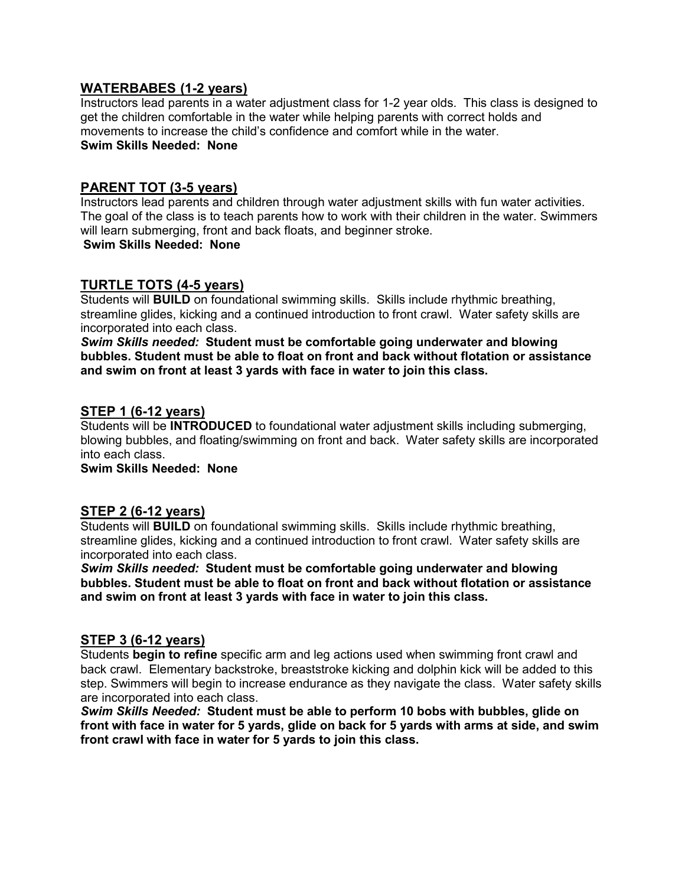### **WATERBABES (1-2 years)**

Instructors lead parents in a water adjustment class for 1-2 year olds. This class is designed to get the children comfortable in the water while helping parents with correct holds and movements to increase the child's confidence and comfort while in the water. **Swim Skills Needed: None**

# **PARENT TOT (3-5 years)**

Instructors lead parents and children through water adjustment skills with fun water activities. The goal of the class is to teach parents how to work with their children in the water. Swimmers will learn submerging, front and back floats, and beginner stroke.

**Swim Skills Needed: None**

# **TURTLE TOTS (4-5 years)**

Students will **BUILD** on foundational swimming skills. Skills include rhythmic breathing, streamline glides, kicking and a continued introduction to front crawl. Water safety skills are incorporated into each class.

*Swim Skills needed:* **Student must be comfortable going underwater and blowing bubbles. Student must be able to float on front and back without flotation or assistance and swim on front at least 3 yards with face in water to join this class.**

### **STEP 1 (6-12 years)**

Students will be **INTRODUCED** to foundational water adjustment skills including submerging, blowing bubbles, and floating/swimming on front and back. Water safety skills are incorporated into each class.

**Swim Skills Needed: None**

# **STEP 2 (6-12 years)**

Students will **BUILD** on foundational swimming skills. Skills include rhythmic breathing, streamline glides, kicking and a continued introduction to front crawl. Water safety skills are incorporated into each class.

*Swim Skills needed:* **Student must be comfortable going underwater and blowing bubbles. Student must be able to float on front and back without flotation or assistance and swim on front at least 3 yards with face in water to join this class.**

# **STEP 3 (6-12 years)**

Students **begin to refine** specific arm and leg actions used when swimming front crawl and back crawl. Elementary backstroke, breaststroke kicking and dolphin kick will be added to this step. Swimmers will begin to increase endurance as they navigate the class. Water safety skills are incorporated into each class.

*Swim Skills Needed:* **Student must be able to perform 10 bobs with bubbles, glide on front with face in water for 5 yards, glide on back for 5 yards with arms at side, and swim front crawl with face in water for 5 yards to join this class.**